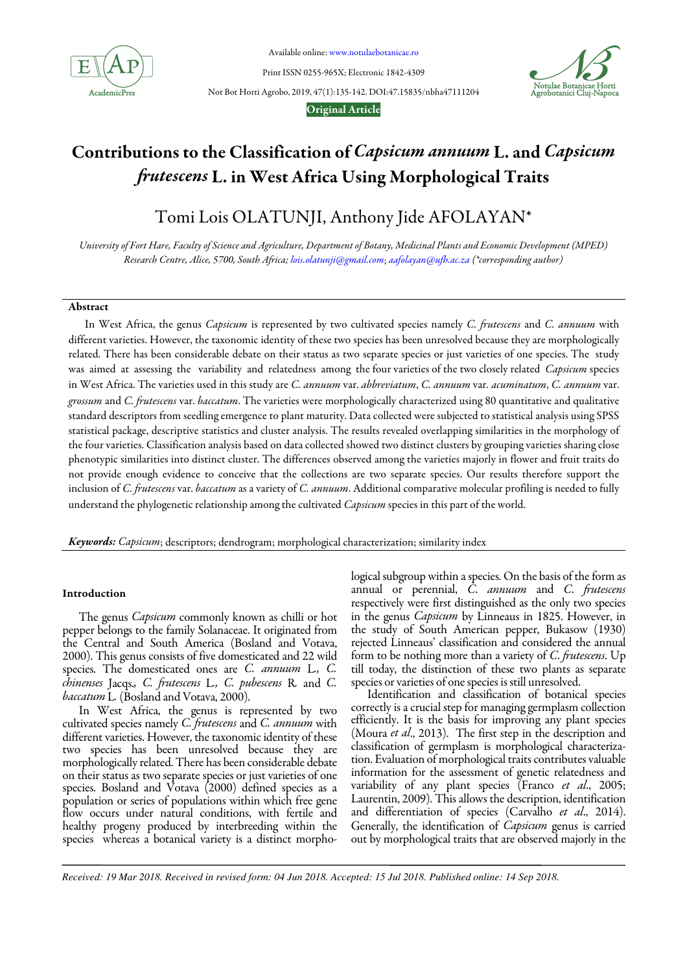

Available online: www.notulaebotanicae.ro

Print ISSN 0255-965X; Electronic 1842-4309

Not Bot Horti Agrobo, 2019, 47(1):135-142. DOI:47.15835/nbha47111204



## Original Article

# Contributions to the Classification of Capsicum annuum L. and Capsicum frutescens L. in West Africa Using Morphological Traits

Tomi Lois OLATUNJI, Anthony Jide AFOLAYAN\*

University of Fort Hare, Faculty of Science and Agriculture, Department of Botany, Medicinal Plants and Economic Development (MPED) Research Centre, Alice, 5700, South Africa; lois.olatunji@gmail.com; aafolayan@ufh.ac.za (\*corresponding author)

## Abstract

In West Africa, the genus Capsicum is represented by two cultivated species namely C. frutescens and C. annuum with different varieties. However, the taxonomic identity of these two species has been unresolved because they are morphologically related. There has been considerable debate on their status as two separate species or just varieties of one species. The study was aimed at assessing the variability and relatedness among the four varieties of the two closely related Capsicum species in West Africa. The varieties used in this study are C. annuum var. abbreviatum, C. annuum var. acuminatum, C. annuum var. grossum and C. frutescens var. baccatum. The varieties were morphologically characterized using 80 quantitative and qualitative standard descriptors from seedling emergence to plant maturity. Data collected were subjected to statistical analysis using SPSS statistical package, descriptive statistics and cluster analysis. The results revealed overlapping similarities in the morphology of the four varieties. Classification analysis based on data collected showed two distinct clusters by grouping varieties sharing close phenotypic similarities into distinct cluster. The differences observed among the varieties majorly in flower and fruit traits do not provide enough evidence to conceive that the collections are two separate species. Our results therefore support the inclusion of C. frutescens var. baccatum as a variety of C. annuum. Additional comparative molecular profiling is needed to fully understand the phylogenetic relationship among the cultivated Capsicum species in this part of the world.

Keywords: Capsicum; descriptors; dendrogram; morphological characterization; similarity index

## Introduction

The genus *Capsicum* commonly known as chilli or hot pepper belongs to the family Solanaceae. It originated from the Central and South America (Bosland and Votava, 2000). This genus consists of five domesticated and 22 wild species. The domesticated ones are C. annuum L., C. chinenses Jacqs., C. frutescens L., C. pubescens R. and C. baccatum L. (Bosland and Votava, 2000).

In West Africa, the genus is represented by two cultivated species namely C. frutescens and C. annuum with different varieties. However, the taxonomic identity of these two species has been unresolved because they are morphologically related. There has been considerable debate on their status as two separate species or just varieties of one species. Bosland and Votava (2000) defined species as a population or series of populations within which free gene flow occurs under natural conditions, with fertile and healthy progeny produced by interbreeding within the species whereas a botanical variety is a distinct morphological subgroup within a species. On the basis of the form as annual or perennial,  $\overrightarrow{C}$ . annuum and  $\overrightarrow{C}$ . frutescens respectively were first distinguished as the only two species in the genus Capsicum by Linneaus in 1825. However, in the study of South American pepper, Bukasow (1930) rejected Linneaus' classification and considered the annual form to be nothing more than a variety of C. frutescens. Up till today, the distinction of these two plants as separate species or varieties of one species is still unresolved.

Identification and classification of botanical species correctly is a crucial step for managing germplasm collection efficiently. It is the basis for improving any plant species (Moura et al., 2013). The first step in the description and classification of germplasm is morphological characterization. Evaluation of morphological traits contributes valuable information for the assessment of genetic relatedness and variability of any plant species (Franco et al., 2005; Laurentin, 2009). This allows the description, identification and differentiation of species (Carvalho et al., 2014). Generally, the identification of *Capsicum* genus is carried out by morphological traits that are observed majorly in the

*Received: 19 Mar 2018. Received in revised form: 04 Jun 2018. Accepted: 15 Jul 2018. Published online: 14 Sep 2018.*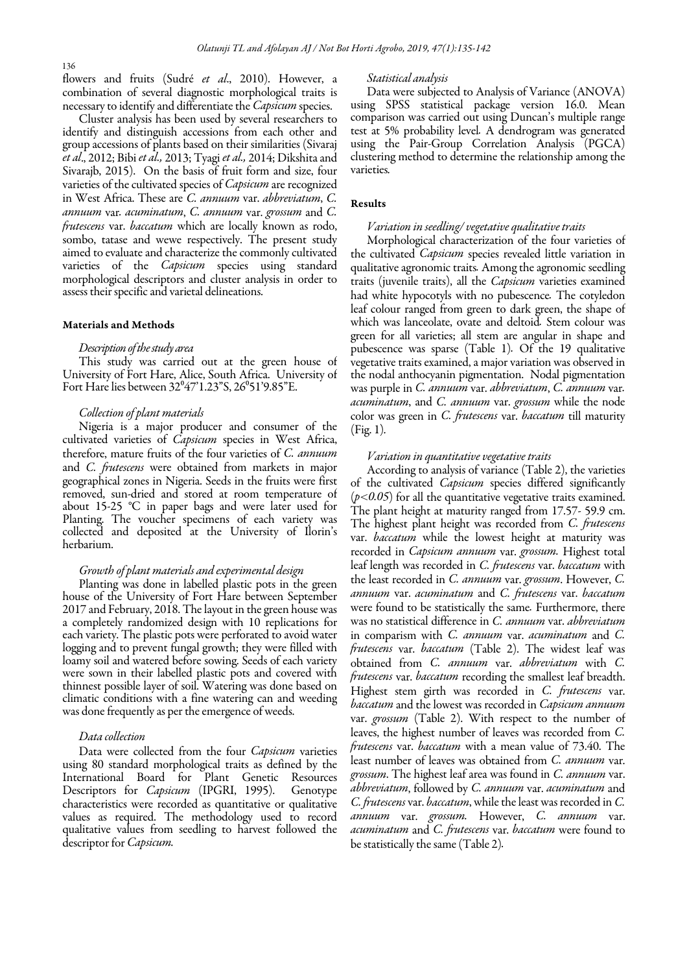136

flowers and fruits (Sudré et al., 2010). However, a combination of several diagnostic morphological traits is necessary to identify and differentiate the *Capsicum* species.

Cluster analysis has been used by several researchers to identify and distinguish accessions from each other and group accessions of plants based on their similarities (Sivaraj et al., 2012; Bibi et al., 2013; Tyagi et al., 2014; Dikshita and Sivarajb, 2015). On the basis of fruit form and size, four varieties of the cultivated species of Capsicum are recognized in West Africa. These are C. annuum var. abbreviatum, C. annuum var. acuminatum, C. annuum var. grossum and C. frutescens var. baccatum which are locally known as rodo, sombo, tatase and wewe respectively. The present study aimed to evaluate and characterize the commonly cultivated varieties of the *Capsicum* species using standard morphological descriptors and cluster analysis in order to assess their specific and varietal delineations.

## Materials and Methods

## Description of the study area

This study was carried out at the green house of University of Fort Hare, Alice, South Africa. University of Fort Hare lies between 32°47'1.23"S, 26°51'9.85"E.

## Collection of plant materials

Nigeria is a major producer and consumer of the cultivated varieties of Capsicum species in West Africa, therefore, mature fruits of the four varieties of C. annuum and C. frutescens were obtained from markets in major geographical zones in Nigeria. Seeds in the fruits were first removed, sun-dried and stored at room temperature of about 15-25 °C in paper bags and were later used for Planting. The voucher specimens of each variety was collected and deposited at the University of Ilorin's herbarium.

#### Growth of plant materials and experimental design

Planting was done in labelled plastic pots in the green house of the University of Fort Hare between September 2017 and February, 2018. The layout in the green house was a completely randomized design with 10 replications for each variety. The plastic pots were perforated to avoid water logging and to prevent fungal growth; they were filled with loamy soil and watered before sowing. Seeds of each variety were sown in their labelled plastic pots and covered with thinnest possible layer of soil. Watering was done based on climatic conditions with a fine watering can and weeding was done frequently as per the emergence of weeds.

#### Data collection

Data were collected from the four *Capsicum* varieties using 80 standard morphological traits as defined by the International Board for Plant Genetic Resources Descriptors for *Capsicum* (IPGRI, 1995). Genotype characteristics were recorded as quantitative or qualitative values as required. The methodology used to record qualitative values from seedling to harvest followed the descriptor for *Capsicum*.

#### Statistical analysis

Data were subjected to Analysis of Variance (ANOVA) using SPSS statistical package version 16.0. Mean comparison was carried out using Duncan's multiple range test at 5% probability level. A dendrogram was generated using the Pair-Group Correlation Analysis (PGCA) clustering method to determine the relationship among the varieties.

#### Results

## Variation in seedling/ vegetative qualitative traits

Morphological characterization of the four varieties of the cultivated Capsicum species revealed little variation in qualitative agronomic traits. Among the agronomic seedling traits (juvenile traits), all the Capsicum varieties examined had white hypocotyls with no pubescence. The cotyledon leaf colour ranged from green to dark green, the shape of which was lanceolate, ovate and deltoid. Stem colour was green for all varieties; all stem are angular in shape and pubescence was sparse (Table 1). Of the 19 qualitative vegetative traits examined, a major variation was observed in the nodal anthocyanin pigmentation. Nodal pigmentation was purple in *C. annuum* var. *abbreviatum*, *C. annuum* var. acuminatum, and C. annuum var. grossum while the node color was green in C. frutescens var. baccatum till maturity (Fig. 1).

#### Variation in quantitative vegetative traits

According to analysis of variance (Table 2), the varieties of the cultivated *Capsicum* species differed significantly (p*˂*0.05) for all the quantitative vegetative traits examined. The plant height at maturity ranged from 17.57- 59.9 cm. The highest plant height was recorded from C. frutescens var. baccatum while the lowest height at maturity was recorded in Capsicum annuum var. grossum. Highest total leaf length was recorded in C. frutescens var. baccatum with the least recorded in C. annuum var. grossum. However, C. annuum var. acuminatum and C. frutescens var. baccatum were found to be statistically the same. Furthermore, there was no statistical difference in C. annuum var. abbreviatum in comparism with C. annuum var. acuminatum and C. frutescens var. baccatum (Table 2). The widest leaf was obtained from C. annuum var. abbreviatum with C. frutescens var. baccatum recording the smallest leaf breadth. Highest stem girth was recorded in C. frutescens var. baccatum and the lowest was recorded in Capsicum annuum var. grossum (Table 2). With respect to the number of leaves, the highest number of leaves was recorded from C. frutescens var. baccatum with a mean value of 73.40. The least number of leaves was obtained from C. annuum var. grossum. The highest leaf area was found in C. annuum var. abbreviatum, followed by C. annuum var. acuminatum and C. frutescens var. baccatum, while the least was recorded in C. annuum var. grossum. However, C. annuum var. acuminatum and C. frutescens var. baccatum were found to be statistically the same (Table 2).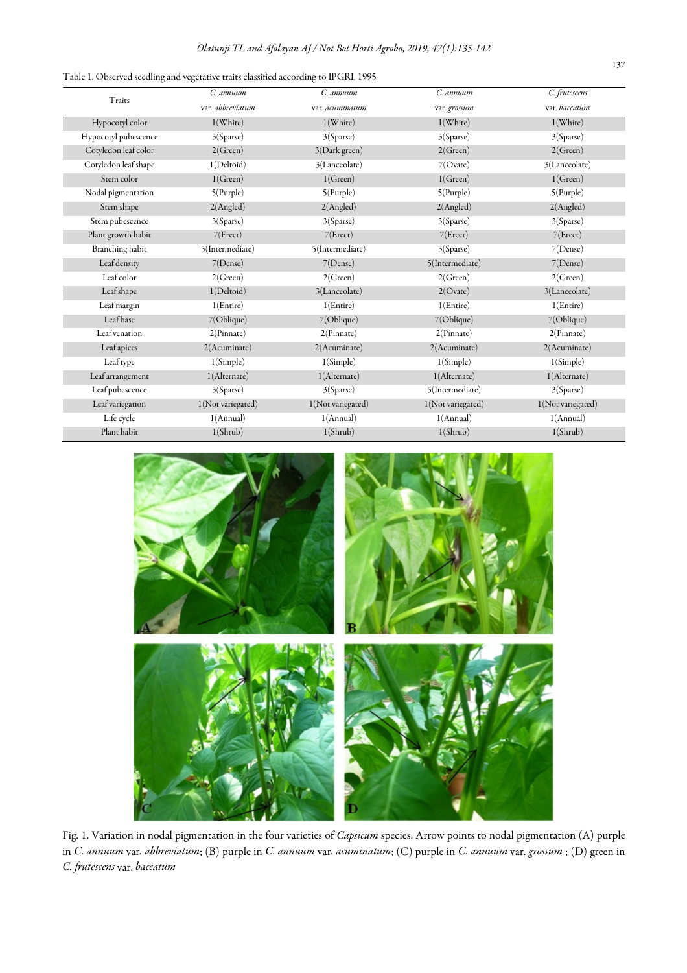| Table 1. Observed seedling and vegetative traits classified according to IPGRI, 1995 |  |  |  |  |
|--------------------------------------------------------------------------------------|--|--|--|--|
|                                                                                      |  |  |  |  |

|                      | C. annuum         | C. annuum         | C. annuum         | C. frutescens     |
|----------------------|-------------------|-------------------|-------------------|-------------------|
| Traits               | var. abbreviatum  | var. acuminatum   | var. grossum      | var. baccatum     |
| Hypocotyl color      | 1(White)          | 1(White)          | $1$ (White)       | $1$ (White)       |
| Hypocotyl pubescence | 3(Sparse)         | 3(Sparse)         | 3(Sparse)         | 3(Sparse)         |
| Cotyledon leaf color | 2(Green)          | 3(Dark green)     | 2(Green)          | 2(Green)          |
| Cotyledon leaf shape | 1(Deltoid)        | 3(Lanceolate)     | 7(Ovate)          | 3(Lanceolate)     |
| Stem color           | 1(Green)          | 1(Green)          | 1(Green)          | 1(Green)          |
| Nodal pigmentation   | 5(Purple)         | $5$ (Purple)      | $5$ (Purple)      | $5$ (Purple)      |
| Stem shape           | 2(Angled)         | 2(Angled)         | 2(Angled)         | 2(Angled)         |
| Stem pubescence      | 3(Sparse)         | 3(Sparse)         | 3(Sparse)         | 3(Sparse)         |
| Plant growth habit   | 7(Erect)          | 7(Erect)          | 7(Erect)          | 7(Erect)          |
| Branching habit      | 5(Intermediate)   | 5(Intermediate)   | 3(Sparse)         | 7(Dense)          |
| Leaf density         | 7(Dense)          | 7(Dense)          | 5(Intermediate)   | 7(Dense)          |
| Leaf color           | 2(Green)          | 2(Green)          | 2(Green)          | 2(Green)          |
| Leaf shape           | 1(Deltoid)        | 3(Lanceolate)     | $2$ (Ovate)       | 3(Lanceolate)     |
| Leaf margin          | 1(Entire)         | 1(Entire)         | 1(Entire)         | 1(Entire)         |
| Leafbase             | 7(Oblique)        | 7(Oblique)        | 7(Oblique)        | 7(Oblique)        |
| Leaf venation        | 2(Pinnate)        | 2(Pinnate)        | 2(Pinnate)        | 2(Pinnate)        |
| Leaf apices          | 2(Acuminate)      | 2(Acuminate)      | 2(Acuminate)      | 2(Acuminate)      |
| Leaf type            | 1(Simple)         | 1(Simple)         | 1(Simple)         | 1(Simple)         |
| Leaf arrangement     | 1(Alternate)      | 1(Alternate)      | 1(Alternate)      | 1(Alternate)      |
| Leaf pubescence      | 3(Sparse)         | 3(Sparse)         | 5(Intermediate)   | 3(Sparse)         |
| Leaf variegation     | 1(Not variegated) | 1(Not variegated) | 1(Not variegated) | 1(Not variegated) |
| Life cycle           | 1(Annual)         | 1(Annual)         | 1(Annual)         | 1(Annual)         |
| Plant habit          | 1(Shrub)          | 1(Shrub)          | 1(Shrub)          | 1(Shrub)          |



Fig. 1. Variation in nodal pigmentation in the four varieties of *Capsicum* species. Arrow points to nodal pigmentation (A) purple in C. annuum var. abbreviatum; (B) purple in C. annuum var. acuminatum; (C) purple in C. annuum var. grossum ; (D) green in C. frutescens var. baccatum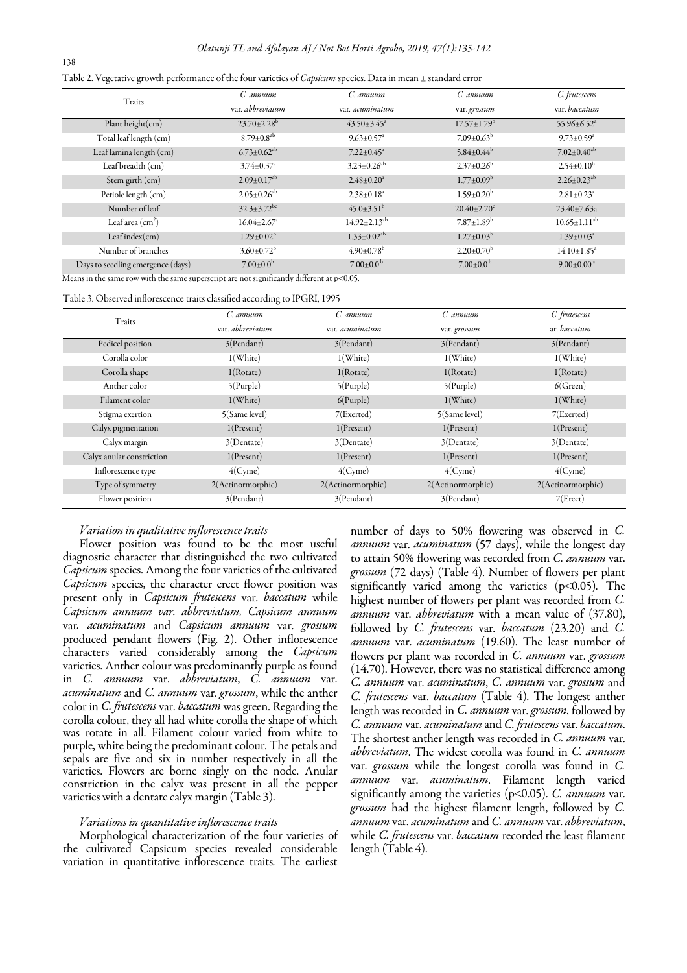|  |  |  |  | Table 2. Vegetative growth performance of the four varieties of Capsicum species. Data in mean ± standard error |  |
|--|--|--|--|-----------------------------------------------------------------------------------------------------------------|--|
|  |  |  |  |                                                                                                                 |  |

| Traits                            | C. annuum                     | C. annuum                     | C. annuum                     | C. frutescens                 |
|-----------------------------------|-------------------------------|-------------------------------|-------------------------------|-------------------------------|
|                                   | var. abbreviatum              | var. acuminatum               | var. grossum                  | var, baccatum                 |
| Plant height $(cm)$               | $23.70 \pm 2.28$ <sup>b</sup> | $43.50 \pm 3.45^{\circ}$      | $17.57 \pm 1.79^{\rm b}$      | $55.96 \pm 6.52$ <sup>a</sup> |
| Total leaf length (cm)            | $8.79 \pm 0.8$ <sup>ab</sup>  | $9.63 \pm 0.57$ <sup>a</sup>  | $7.09 \pm 0.63^b$             | $9.73 \pm 0.59^a$             |
| Leaf lamina length (cm)           | $6.73 \pm 0.62^{ab}$          | $7.22 \pm 0.45$ <sup>a</sup>  | $5.84 \pm 0.44^b$             | $7.02 \pm 0.40^{ab}$          |
| Leaf breadth (cm)                 | $3.74 \pm 0.37$ <sup>a</sup>  | $3.23 \pm 0.26$ <sup>ab</sup> | $2.37 \pm 0.26$ <sup>b</sup>  | $2.54 \pm 0.10^b$             |
| Stem girth (cm)                   | $2.09 \pm 0.17$ <sup>ab</sup> | $2.48 \pm 0.20^a$             | $1.77 \pm 0.09^{\rm b}$       | $2.26 \pm 0.23$ <sup>ab</sup> |
| Petiole length (cm)               | $2.05 \pm 0.26$ <sup>ab</sup> | $2.38 \pm 0.18$ <sup>a</sup>  | $1.59 \pm 0.20^b$             | $2.81 \pm 0.23$ <sup>a</sup>  |
| Number of leaf                    | $32.3 \pm 3.72$ <sup>bc</sup> | $45.0 \pm 3.51^{\rm b}$       | $20.40 \pm 2.70$ <sup>c</sup> | $73.40 \pm 7.63$ a            |
| Leaf area $\rm (cm^2)$            | $16.04 \pm 2.67$ <sup>a</sup> | $14.92 \pm 2.13^{ab}$         | $7.87 \pm 1.89^b$             | $10.65 \pm 1.11^{ab}$         |
| Leafindex(cm)                     | $1.29 \pm 0.02^{\rm b}$       | $1.33 \pm 0.02^{ab}$          | $1.27 \pm 0.03^{\rm b}$       | $1.39 \pm 0.03^a$             |
| Number of branches                | $3.60 \pm 0.72^{\rm b}$       | $4.90 \pm 0.78$ <sup>b</sup>  | $2.20 \pm 0.70^b$             | $14.10 \pm 1.85$ <sup>a</sup> |
| Days to seedling emergence (days) | $7.00 \pm 0.0^b$              | $7.00\pm0.0^{\mathrm{b}}$     | $7.00\pm0.0^{b}$              | $9.00 \pm 0.00^{\text{a}}$    |

Means in the same row with the same superscript are not significantly different at p˂0.05.

#### Table 3. Observed inflorescence traits classified according to IPGRI, 1995

|                           | $\omega$          |                   |                   |                   |
|---------------------------|-------------------|-------------------|-------------------|-------------------|
| Traits                    | C. annuum         | C. annuum         | C. annuum         | C. frutescens     |
|                           | var. abbreviatum  | var. acuminatum   | var. grossum      | ar. baccatum      |
| Pedicel position          | 3(Pendant)        | 3(Pendant)        | 3(Pendant)        | 3(Pendant)        |
| Corolla color             | 1(White)          | 1(White)          | 1(White)          | 1(White)          |
| Corolla shape             | 1(Rotate)         | 1(Rotate)         | 1(Rotate)         | 1(Rotate)         |
| Anther color              | $5$ (Purple)      | $5$ (Purple)      | $5$ (Purple)      | 6(Green)          |
| Filament color            | 1(White)          | $6$ (Purple)      | 1(White)          | 1(White)          |
| Stigma exertion           | 5(Same level)     | $7$ (Exerted)     | 5(Same level)     | 7(Exerted)        |
| Calyx pigmentation        | 1(Present)        | 1(Present)        | 1(Present)        | 1(Present)        |
| Calyx margin              | 3(Dentate)        | 3(Dentate)        | 3(Dentate)        | 3(Dentate)        |
| Calyx anular constriction | 1(Present)        | 1(Present)        | 1(Present)        | 1(Present)        |
| Inflorescence type        | $4$ (Cyme)        | $4$ (Cyme)        | $4$ (Cyme)        | $4$ (Cyme)        |
| Type of symmetry          | 2(Actinormorphic) | 2(Actinormorphic) | 2(Actinormorphic) | 2(Actinormorphic) |
| Flower position           | 3(Pendant)        | 3(Pendant)        | 3(Pendant)        | 7(Erect)          |

## Variation in qualitative inflorescence traits

Flower position was found to be the most useful diagnostic character that distinguished the two cultivated Capsicum species. Among the four varieties of the cultivated Capsicum species, the character erect flower position was present only in Capsicum frutescens var. baccatum while Capsicum annuum var. abbreviatum, Capsicum annuum var. acuminatum and Capsicum annuum var. grossum produced pendant flowers (Fig. 2). Other inflorescence characters varied considerably among the Capsicum varieties. Anther colour was predominantly purple as found in C. annuum var. abbreviatum, C. annuum var. acuminatum and C. annuum var. grossum, while the anther color in *C. frutescens* var. *baccatum* was green. Regarding the corolla colour, they all had white corolla the shape of which was rotate in all. Filament colour varied from white to purple, white being the predominant colour. The petals and sepals are five and six in number respectively in all the varieties. Flowers are borne singly on the node. Anular constriction in the calyx was present in all the pepper varieties with a dentate calyx margin (Table 3).

## Variations in quantitative inflorescence traits

Morphological characterization of the four varieties of the cultivated Capsicum species revealed considerable variation in quantitative inflorescence traits. The earliest number of days to 50% flowering was observed in C. annuum var. acuminatum (57 days), while the longest day to attain 50% flowering was recorded from C. annuum var. grossum (72 days) (Table 4). Number of flowers per plant significantly varied among the varieties  $(p<0.05)$ . The highest number of flowers per plant was recorded from C. annuum var. abbreviatum with a mean value of (37.80), followed by C. frutescens var. baccatum (23.20) and C. annuum var. acuminatum (19.60). The least number of flowers per plant was recorded in C. annuum var. grossum (14.70). However, there was no statistical difference among C. annuum var. acuminatum, C. annuum var. grossum and C. frutescens var. baccatum (Table 4). The longest anther length was recorded in C. annuum var. grossum, followed by C. annuum var. acuminatum and C. frutescens var. baccatum. The shortest anther length was recorded in C. annuum var. abbreviatum. The widest corolla was found in C. annuum var. grossum while the longest corolla was found in C. annuum var. acuminatum. Filament length varied significantly among the varieties  $(p<0.05)$ . C. annuum var. grossum had the highest filament length, followed by C. annuum var. acuminatum and C. annuum var. abbreviatum, while C. frutescens var. baccatum recorded the least filament length (Table 4).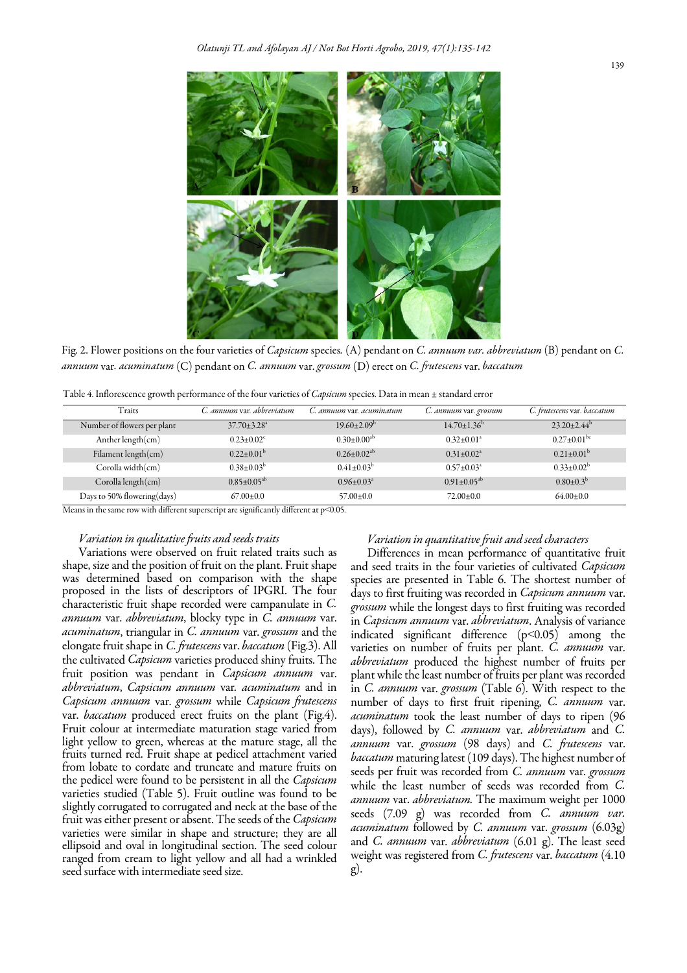Fig. 2. Flower positions on the four varieties of Capsicum species. (A) pendant on C. annuum var. abbreviatum (B) pendant on C. annuum var. acuminatum  $(C)$  pendant on C. annuum var. grossum  $(D)$  erect on C. frutescens var. baccatum

| Table 4. Inflorescence growth performance of the four varieties of <i>Capsicum</i> species. Data in mean ± standard error |  |  |
|---------------------------------------------------------------------------------------------------------------------------|--|--|

| $\cdot$                     |                               |                           |                              |                             |
|-----------------------------|-------------------------------|---------------------------|------------------------------|-----------------------------|
| Traits                      | C. annuum var. abbreviatum    | C. annuum var. acuminatum | C. annuum var. grossum       | C. frutescens var. baccatum |
| Number of flowers per plant | $37.70 \pm 3.28$ <sup>a</sup> | $19.60 \pm 2.09^{\circ}$  | $14.70 \pm 1.36^{\circ}$     | $23.20 \pm 2.44^b$          |
| Anther length $(cm)$        | $0.23 \pm 0.02$ <sup>c</sup>  | $0.30 \pm 0.00^{ab}$      | $0.32 \pm 0.01$ <sup>a</sup> | $0.27 \pm 0.01^{\rm bc}$    |
| Filament length $(cm)$      | $0.22 \pm 0.01^{\rm b}$       | $0.26 \pm 0.02^{ab}$      | $0.31 + 0.02^a$              | $0.21 \pm 0.01^{\rm b}$     |
| Corolla width(cm)           | $0.38 \pm 0.03^{\rm b}$       | $0.41 \pm 0.03^b$         | $0.57 \pm 0.03^{\circ}$      | $0.33 \pm 0.02^{\rm b}$     |
| Corolla length(cm)          | $0.85 \pm 0.05^{ab}$          | $0.96 \pm 0.03^{\circ}$   | $0.91 \pm 0.05^{ab}$         | $0.80 \pm 0.3^{\rm b}$      |
| Days to 50% flowering(days) | $67.00 \pm 0.0$               | $57.00 \pm 0.0$           | $72.00 \pm 0.0$              | $64.00 \pm 0.0$             |

Means in the same row with different superscript are significantly different at p˂0.05.

#### Variation in qualitative fruits and seeds traits

 proposed in the lists of descriptors of IPGRI. The four Variations were observed on fruit related traits such as shape, size and the position of fruit on the plant. Fruit shape was determined based on comparison with the shape characteristic fruit shape recorded were campanulate in C. annuum var. abbreviatum, blocky type in C. annuum var. acuminatum, triangular in C. annuum var. grossum and the elongate fruit shape in C. frutescens var. baccatum (Fig.3). All the cultivated *Capsicum* varieties produced shiny fruits. The fruit position was pendant in Capsicum annuum var. abbreviatum, Capsicum annuum var. acuminatum and in Capsicum annuum var. grossum while Capsicum frutescens var. *baccatum* produced erect fruits on the plant (Fig.4). Fruit colour at intermediate maturation stage varied from light yellow to green, whereas at the mature stage, all the fruits turned red. Fruit shape at pedicel attachment varied from lobate to cordate and truncate and mature fruits on the pedicel were found to be persistent in all the *Capsicum* varieties studied (Table 5). Fruit outline was found to be slightly corrugated to corrugated and neck at the base of the fruit was either present or absent. The seeds of the *Capsicum* varieties were similar in shape and structure; they are all ellipsoid and oval in longitudinal section. The seed colour ranged from cream to light yellow and all had a wrinkled seed surface with intermediate seed size.

## Variation in quantitative fruit and seed characters

Differences in mean performance of quantitative fruit and seed traits in the four varieties of cultivated Capsicum species are presented in Table 6. The shortest number of days to first fruiting was recorded in *Capsicum annuum* var. grossum while the longest days to first fruiting was recorded in Capsicum annuum var. abbreviatum. Analysis of variance indicated significant difference (p˂0.05) among the varieties on number of fruits per plant. C. annuum var. abbreviatum produced the highest number of fruits per plant while the least number of fruits per plant was recorded in C. annuum var. grossum (Table 6). With respect to the number of days to first fruit ripening, C. annuum var. acuminatum took the least number of days to ripen (96 days), followed by C. annuum var. abbreviatum and C. annuum var. grossum (98 days) and C. frutescens var. baccatum maturing latest (109 days). The highest number of seeds per fruit was recorded from C. annuum var. grossum while the least number of seeds was recorded from C. annuum var. abbreviatum. The maximum weight per 1000 seeds (7.09 g) was recorded from C. annuum var. acuminatum followed by C. annuum var. grossum (6.03g) and C. annuum var. abbreviatum  $(6.01 \text{ g})$ . The least seed weight was registered from C. frutescens var. baccatum (4.10 g).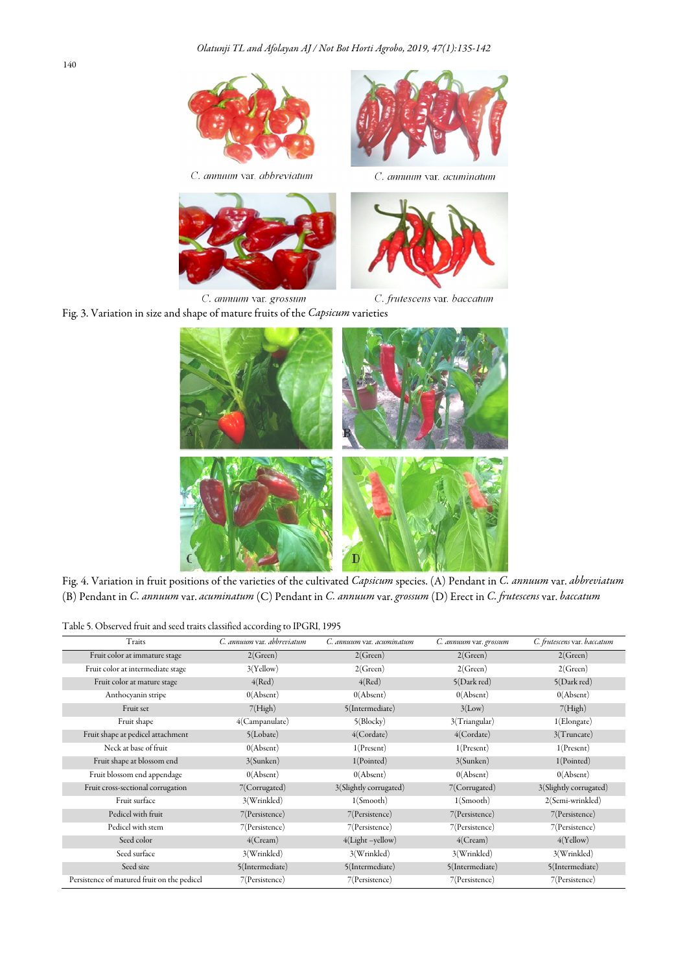

C. annuum var. grossum C. frutescens var. baccatum Fig. 3. Variation in size and shape of mature fruits of the Capsicum varieties



Fig. 4. Variation in fruit positions of the varieties of the cultivated Capsicum species. (A) Pendant in C. annuum var. abbreviatum (B) Pendant in C. annuum var. acuminatum (C) Pendant in C. annuum var. grossum (D) Erect in C. frutescens var. baccatum

Table 5. Observed fruit and seed traits classified according to IPGRI, 1995

| Traits                                      | C. annuum var. abbreviatum | C. annuum var. acuminatum | C. annuum var. grossum | C. frutescens var. baccatum |
|---------------------------------------------|----------------------------|---------------------------|------------------------|-----------------------------|
| Fruit color at immature stage               | 2(Green)                   | 2(Green)                  | 2(Green)               | 2(Green)                    |
| Fruit color at intermediate stage           | 3(Yellow)                  | 2(Green)                  | 2(Green)               | 2(Green)                    |
| Fruit color at mature stage                 | 4(Red)                     | 4(Red)                    | 5(Dark red)            | 5(Dark red)                 |
| Anthocyanin stripe                          | 0(Absent)                  | 0(Absent)                 | 0(Absent)              | 0(Absent)                   |
| Fruit set                                   | 7(High)                    | 5(Intermediate)           | 3(Low)                 | 7(High)                     |
| Fruit shape                                 | 4(Campanulate)             | 5(Blocky)                 | 3(Triangular)          | 1(Elongate)                 |
| Fruit shape at pedicel attachment           | 5( Lobate)                 | $4$ (Cordate)             | $4$ (Cordate)          | 3(Truncate)                 |
| Neck at base of fruit                       | 0(Absent)                  | 1(Present)                | 1(Present)             | 1(Present)                  |
| Fruit shape at blossom end                  | 3(Sunken)                  | 1(Pointed)                | 3(Sunken)              | 1(Pointed)                  |
| Fruit blossom end appendage                 | 0(Absent)                  | 0(Absent)                 | 0(Absent)              | 0(Absent)                   |
| Fruit cross-sectional corrugation           | 7(Corrugated)              | 3(Slightly corrugated)    | 7(Corrugated)          | 3(Slightly corrugated)      |
| Fruit surface                               | 3(Wrinkled)                | 1(Smooth)                 | 1(Smooth)              | 2(Semi-wrinkled)            |
| Pedicel with fruit                          | 7(Persistence)             | 7(Persistence)            | 7(Persistence)         | 7(Persistence)              |
| Pedicel with stem                           | 7(Persistence)             | 7(Persistence)            | 7(Persistence)         | 7(Persistence)              |
| Seed color                                  | 4(Cream)                   | $4(Light -yellow)$        | 4(Cream)               | 4(Yellow)                   |
| Seed surface                                | 3(Wrinkled)                | 3(Wrinkled)               | 3(Wrinkled)            | 3(Wrinkled)                 |
| Seed size                                   | 5(Intermediate)            | 5(Intermediate)           | 5(Intermediate)        | 5(Intermediate)             |
| Persistence of matured fruit on the pedicel | 7(Persistence)             | 7(Persistence)            | 7(Persistence)         | 7(Persistence)              |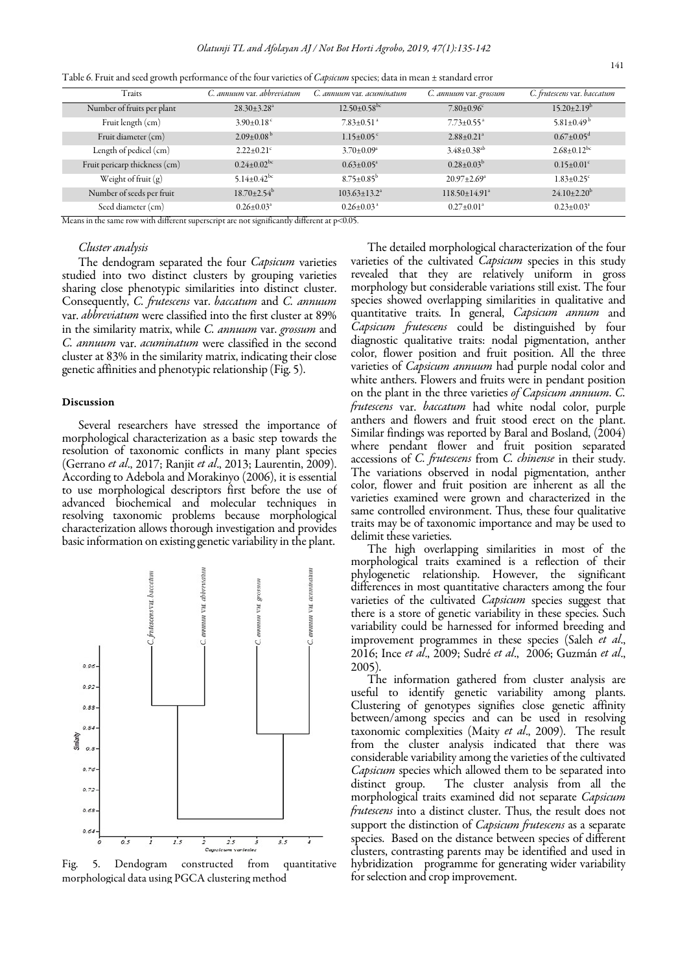| Traits                                         | C. annuum var. abbreviatum                                      | C. annuum var. acuminatum         | C. annuum var. grossum          | C. frutescens var. baccatum   |
|------------------------------------------------|-----------------------------------------------------------------|-----------------------------------|---------------------------------|-------------------------------|
| Number of fruits per plant                     | $28.30 \pm 3.28$ <sup>a</sup>                                   | $12.50\pm0.58^{bc}$               | $7.80 \pm 0.96$                 | $15.20 \pm 2.19^{\rm b}$      |
| Fruit length (cm)                              | $3.90\pm0.18$ <sup>c</sup>                                      | $7.83 \pm 0.51$ <sup>a</sup>      | $7.73 \pm 0.55$ <sup>a</sup>    | 5.81 $\pm$ 0.49 <sup>b</sup>  |
| Fruit diameter (cm)                            | $2.09\pm0.08^{\mathrm{b}}$                                      | $1.15 \pm 0.05$ <sup>c</sup>      | $2.88 \pm 0.21$ <sup>a</sup>    | $0.67 \pm 0.05$ <sup>d</sup>  |
| Length of pedicel (cm)                         | $2.22 \pm 0.21$ <sup>c</sup>                                    | $3.70 \pm 0.09^{\circ}$           | $3.48 \pm 0.38$ <sup>ab</sup>   | $2.68 \pm 0.12$ <sup>bc</sup> |
| Fruit pericarp thickness (cm)                  | $0.24 \pm 0.02$ <sup>bc</sup>                                   | $0.63 \pm 0.05^{\circ}$           | $0.28 \pm 0.03^b$               | $0.15 \pm 0.01$ <sup>c</sup>  |
| Weight of fruit $(g)$                          | 5.14 $\pm$ 0.42 <sup>bc</sup>                                   | $8.75 \pm 0.85^{\rm b}$           | $20.97 \pm 2.69^{\circ}$        | $1.83 \pm 0.25$ <sup>c</sup>  |
| Number of seeds per fruit                      | $18.70 \pm 2.54^{\mathrm{b}}$                                   | $103.63 \pm 13.2^{\circ}$         | $118.50 \pm 14.91$ <sup>a</sup> | $24.10 \pm 2.20^{\rm b}$      |
| Seed diameter (cm)<br>$\overline{\phantom{a}}$ | $0.26 \pm 0.03^{\circ}$<br>$\cdots$<br>$\overline{\phantom{a}}$ | $0.26 \pm 0.03$ <sup>a</sup><br>. | $0.27 \pm 0.01^a$               | $0.23 \pm 0.03^a$             |

Table 6. Fruit and seed growth performance of the four varieties of Capsicum species; data in mean ± standard error

Means in the same row with different superscript are not significantly different at p˂0.05.

## Cluster analysis

The dendogram separated the four *Capsicum* varieties studied into two distinct clusters by grouping varieties sharing close phenotypic similarities into distinct cluster. Consequently, C. frutescens var. baccatum and C. annuum var. *abbreviatum* were classified into the first cluster at 89% in the similarity matrix, while C. annuum var. grossum and C. annuum var. acuminatum were classified in the second cluster at 83% in the similarity matrix, indicating their close genetic affinities and phenotypic relationship (Fig. 5).

#### Discussion

Several researchers have stressed the importance of morphological characterization as a basic step towards the resolution of taxonomic conflicts in many plant species (Gerrano et al., 2017; Ranjit et al., 2013; Laurentin, 2009). According to Adebola and Morakinyo (2006), it is essential to use morphological descriptors first before the use of advanced biochemical and molecular techniques in resolving taxonomic problems because morphological characterization allows thorough investigation and provides basic information on existing genetic variability in the plant.



Fig. 5. Dendogram constructed from quantitative morphological data using PGCA clustering method

The detailed morphological characterization of the four varieties of the cultivated *Capsicum* species in this study revealed that they are relatively uniform in gross morphology but considerable variations still exist. The four species showed overlapping similarities in qualitative and quantitative traits. In general, Capsicum annum and Capsicum frutescens could be distinguished by four diagnostic qualitative traits: nodal pigmentation, anther color, flower position and fruit position. All the three varieties of *Capsicum annuum* had purple nodal color and white anthers. Flowers and fruits were in pendant position on the plant in the three varieties of Capsicum annuum. C. frutescens var. baccatum had white nodal color, purple anthers and flowers and fruit stood erect on the plant. Similar findings was reported by Baral and Bosland, (2004) where pendant flower and fruit position separated accessions of C. frutescens from C. chinense in their study. The variations observed in nodal pigmentation, anther color, flower and fruit position are inherent as all the varieties examined were grown and characterized in the same controlled environment. Thus, these four qualitative traits may be of taxonomic importance and may be used to delimit these varieties.

The high overlapping similarities in most of the morphological traits examined is a reflection of their phylogenetic relationship. However, the significant differences in most quantitative characters among the four varieties of the cultivated Capsicum species suggest that there is a store of genetic variability in these species. Such variability could be harnessed for informed breeding and improvement programmes in these species (Saleh et al., 2016; Ince et al., 2009; Sudré et al., 2006; Guzmán et al., 2005).

The information gathered from cluster analysis are useful to identify genetic variability among plants. Clustering of genotypes signifies close genetic affinity between/among species and can be used in resolving taxonomic complexities (Maity et al., 2009). The result from the cluster analysis indicated that there was considerable variability among the varieties of the cultivated Capsicum species which allowed them to be separated into distinct group. The cluster analysis from all the morphological traits examined did not separate Capsicum frutescens into a distinct cluster. Thus, the result does not support the distinction of Capsicum frutescens as a separate species. Based on the distance between species of different clusters, contrasting parents may be identified and used in hybridization programme for generating wider variability for selection and crop improvement.